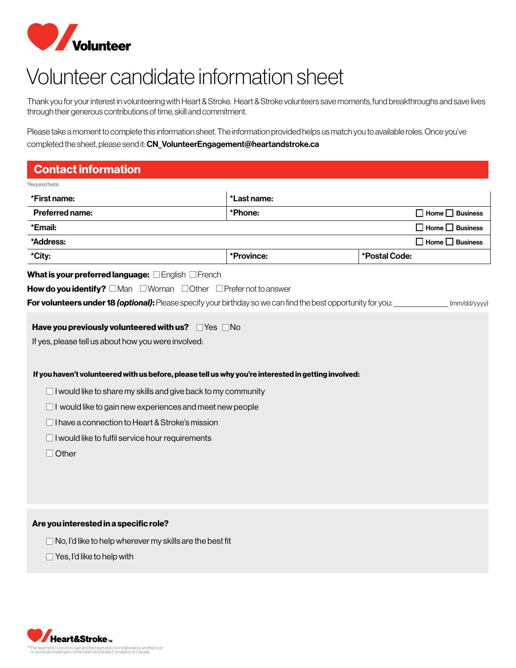

# Volunteer candidate information sheet

Thank you for your interest in volunteering with Heart & Stroke. Heart & Stroke volunteers save moments, fund breakthroughs and save lives through their generous contributions of time, skill and commitment.

Please take a moment to complete this information sheet. The information provided helps us match you to available roles. Once you've completed the sheet, please send it: CN\_VolunteerEngagement@heartandstroke.ca

## Contact information

| Required fields                                                                                                      |             |               |                             |
|----------------------------------------------------------------------------------------------------------------------|-------------|---------------|-----------------------------|
| *First name:                                                                                                         | *Last name: |               |                             |
| Preferred name:                                                                                                      | *Phone:     |               | $\Box$ Home $\Box$ Business |
| *Email:                                                                                                              |             |               | $\Box$ Home $\Box$ Business |
| *Address:                                                                                                            |             |               | $\Box$ Home $\Box$ Business |
| *City:                                                                                                               | *Province:  | *Postal Code: |                             |
| What is your preferred language: <b>English EFrench</b>                                                              |             |               |                             |
| <b>How do you identify?</b> $\Box$ Man $\Box$ Woman $\Box$ Other $\Box$ Prefer not to answer                         |             |               |                             |
| <b>For volunteers under 18 (optional):</b> Please specify your birthday so we can find the best opportunity for you: |             |               | (mm/dd/yyyy)                |
| If you haven't volunteered with us before, please tell us why you're interested in getting involved:                 |             |               |                             |
| I would like to share my skills and give back to my community                                                        |             |               |                             |
| I would like to gain new experiences and meet new people                                                             |             |               |                             |
| I have a connection to Heart & Stroke's mission                                                                      |             |               |                             |
| I would like to fulfil service hour requirements                                                                     |             |               |                             |
| Other                                                                                                                |             |               |                             |
|                                                                                                                      |             |               |                             |
|                                                                                                                      |             |               |                             |
|                                                                                                                      |             |               |                             |
|                                                                                                                      |             |               |                             |

### Are you interested in a specific role?

- $\Box$  No, I'd like to help wherever my skills are the best fit
- $\Box$  Yes, I'd like to help with

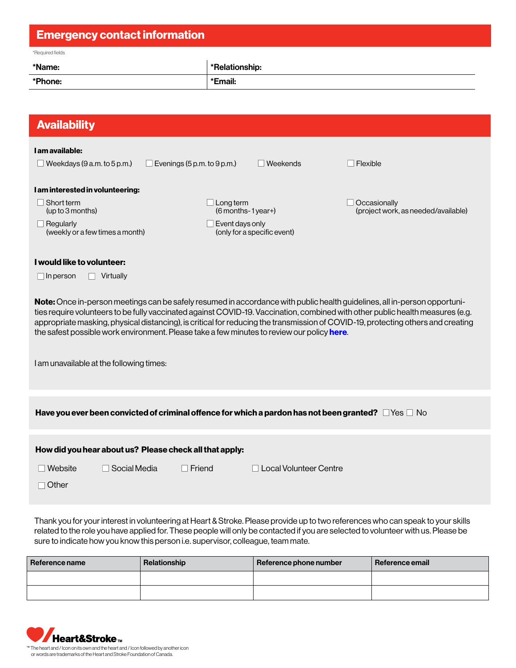| <b>Emergency contact information</b>                                                                                                                                                                                                                                                                                                                                                                                                                                                          |                                                       |                                     |  |  |  |
|-----------------------------------------------------------------------------------------------------------------------------------------------------------------------------------------------------------------------------------------------------------------------------------------------------------------------------------------------------------------------------------------------------------------------------------------------------------------------------------------------|-------------------------------------------------------|-------------------------------------|--|--|--|
| *Required fields                                                                                                                                                                                                                                                                                                                                                                                                                                                                              |                                                       |                                     |  |  |  |
| *Name:                                                                                                                                                                                                                                                                                                                                                                                                                                                                                        | *Relationship:                                        |                                     |  |  |  |
| *Phone:                                                                                                                                                                                                                                                                                                                                                                                                                                                                                       | *Email:                                               |                                     |  |  |  |
|                                                                                                                                                                                                                                                                                                                                                                                                                                                                                               |                                                       |                                     |  |  |  |
| <b>Availability</b>                                                                                                                                                                                                                                                                                                                                                                                                                                                                           |                                                       |                                     |  |  |  |
| I am available:                                                                                                                                                                                                                                                                                                                                                                                                                                                                               |                                                       |                                     |  |  |  |
| $\Box$ Weekdays (9 a.m. to 5 p.m.)                                                                                                                                                                                                                                                                                                                                                                                                                                                            | $\Box$ Evenings (5 p.m. to 9 p.m.)<br>$\Box$ Weekends | $\Box$ Flexible                     |  |  |  |
| I am interested in volunteering:                                                                                                                                                                                                                                                                                                                                                                                                                                                              |                                                       |                                     |  |  |  |
| Short term                                                                                                                                                                                                                                                                                                                                                                                                                                                                                    | $\Box$ Long term                                      | $\Box$ Occasionally                 |  |  |  |
| (up to 3 months)                                                                                                                                                                                                                                                                                                                                                                                                                                                                              | (6 months-1year+)                                     | (project work, as needed/available) |  |  |  |
| $\Box$ Regularly<br>(weekly or a few times a month)                                                                                                                                                                                                                                                                                                                                                                                                                                           | Event days only<br>(only for a specific event)        |                                     |  |  |  |
|                                                                                                                                                                                                                                                                                                                                                                                                                                                                                               |                                                       |                                     |  |  |  |
| I would like to volunteer:                                                                                                                                                                                                                                                                                                                                                                                                                                                                    |                                                       |                                     |  |  |  |
| Virtually<br>$\Box$ In person                                                                                                                                                                                                                                                                                                                                                                                                                                                                 |                                                       |                                     |  |  |  |
| Note: Once in-person meetings can be safely resumed in accordance with public health guidelines, all in-person opportuni-<br>ties require volunteers to be fully vaccinated against COVID-19. Vaccination, combined with other public health measures (e.g.<br>appropriate masking, physical distancing), is critical for reducing the transmission of COVID-19, protecting others and creating<br>the safest possible work environment. Please take a few minutes to review our policy here. |                                                       |                                     |  |  |  |
| I am unavailable at the following times:                                                                                                                                                                                                                                                                                                                                                                                                                                                      |                                                       |                                     |  |  |  |
| Have you ever been convicted of criminal offence for which a pardon has not been granted? $\Box$ Yes $\Box$ No                                                                                                                                                                                                                                                                                                                                                                                |                                                       |                                     |  |  |  |
| How did you hear about us? Please check all that apply:                                                                                                                                                                                                                                                                                                                                                                                                                                       |                                                       |                                     |  |  |  |
| Website<br>$\Box$ Social Media                                                                                                                                                                                                                                                                                                                                                                                                                                                                | $\Box$ Friend<br>Local Volunteer Centre               |                                     |  |  |  |
| □ Other                                                                                                                                                                                                                                                                                                                                                                                                                                                                                       |                                                       |                                     |  |  |  |
|                                                                                                                                                                                                                                                                                                                                                                                                                                                                                               |                                                       |                                     |  |  |  |
|                                                                                                                                                                                                                                                                                                                                                                                                                                                                                               |                                                       |                                     |  |  |  |

Thank you for your interest in volunteering at Heart & Stroke. Please provide up to two references who can speak to your skills related to the role you have applied for. These people will only be contacted if you are selected to volunteer with us. Please be sure to indicate how you know this person i.e. supervisor, colleague, team mate.

| Reference name | Relationship | Reference phone number | Reference email |
|----------------|--------------|------------------------|-----------------|
|                |              |                        |                 |
|                |              |                        |                 |